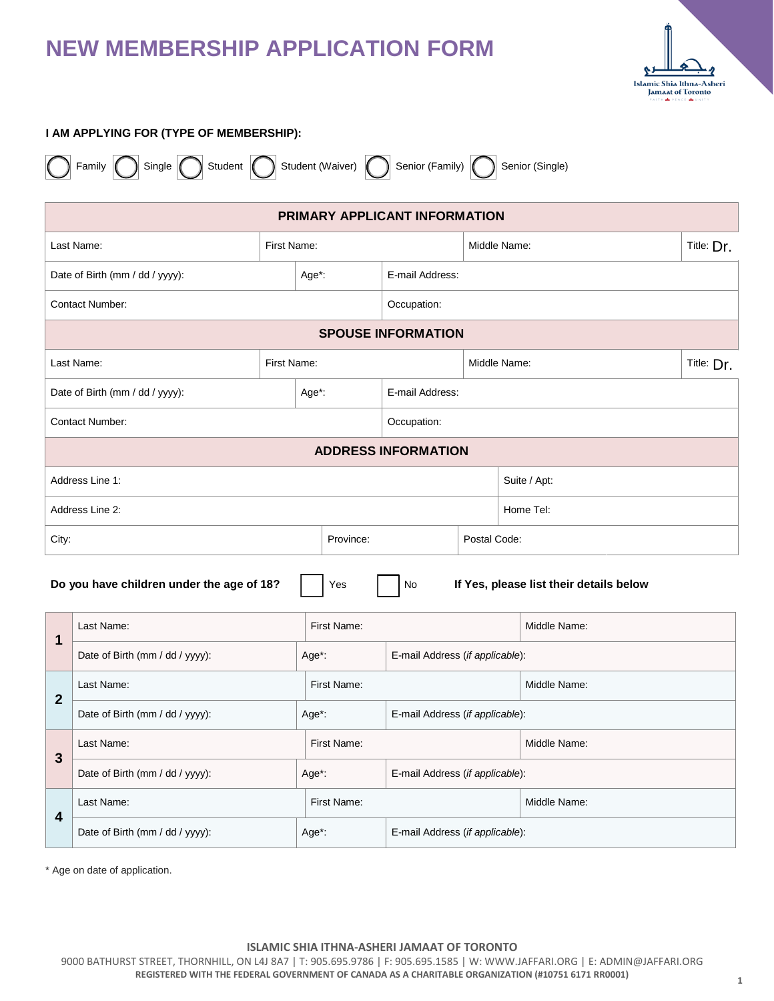

### **I AM APPLYING FOR (TYPE OF MEMBERSHIP):**

|  | Family |  |  |
|--|--------|--|--|
|--|--------|--|--|

ingle  $\bigcap$  Student  $\bigcap$  Student (Waiver)  $\bigcap$  Senior (Family)  $\bigcap$  Senior (Single)

| PRIMARY APPLICANT INFORMATION                                                                     |                                          |                 |                                 |                                 |              |              |  |
|---------------------------------------------------------------------------------------------------|------------------------------------------|-----------------|---------------------------------|---------------------------------|--------------|--------------|--|
|                                                                                                   | Last Name:                               | First Name:     |                                 | Middle Name:                    |              | Title: Dr.   |  |
| Date of Birth (mm / dd / yyyy):<br>Age*:                                                          |                                          | E-mail Address: |                                 |                                 |              |              |  |
|                                                                                                   | Contact Number:                          |                 |                                 | Occupation:                     |              |              |  |
|                                                                                                   |                                          |                 |                                 | <b>SPOUSE INFORMATION</b>       |              |              |  |
| Last Name:<br>First Name:                                                                         |                                          |                 |                                 | Middle Name:                    |              | Title: Dr.   |  |
| Date of Birth (mm / dd / yyyy):<br>Age*:                                                          |                                          |                 | E-mail Address:                 |                                 |              |              |  |
| <b>Contact Number:</b>                                                                            |                                          |                 | Occupation:                     |                                 |              |              |  |
|                                                                                                   |                                          |                 |                                 | <b>ADDRESS INFORMATION</b>      |              |              |  |
| Address Line 1:                                                                                   |                                          |                 |                                 |                                 | Suite / Apt: |              |  |
| Address Line 2:                                                                                   |                                          |                 |                                 |                                 | Home Tel:    |              |  |
| Province:<br>City:                                                                                |                                          | Postal Code:    |                                 |                                 |              |              |  |
| Do you have children under the age of 18?<br>No<br>If Yes, please list their details below<br>Yes |                                          |                 |                                 |                                 |              |              |  |
| $\mathbf 1$                                                                                       | Last Name:<br>First Name:                |                 | Middle Name:                    |                                 |              |              |  |
|                                                                                                   | Date of Birth (mm / dd / yyyy):<br>Age*: |                 | E-mail Address (if applicable): |                                 |              |              |  |
| $\overline{2}$                                                                                    | First Name:<br>Last Name:                |                 | Middle Name:                    |                                 |              |              |  |
|                                                                                                   | Date of Birth (mm / dd / yyyy):          | Age*:           |                                 | E-mail Address (if applicable): |              |              |  |
| $\overline{3}$                                                                                    | First Name:<br>Last Name:                |                 |                                 |                                 | Middle Name: |              |  |
| Date of Birth (mm / dd / yyyy):<br>Age*:                                                          |                                          |                 | E-mail Address (if applicable): |                                 |              |              |  |
| 4                                                                                                 | Last Name:                               |                 | First Name:                     |                                 |              | Middle Name: |  |
|                                                                                                   |                                          |                 |                                 |                                 |              |              |  |

\* Age on date of application.

#### **ISLAMIC SHIA ITHNA-ASHERI JAMAAT OF TORONTO**

Date of Birth (mm / dd / yyyy): <br>Age\*: **E-mail Address** (*if applicable*):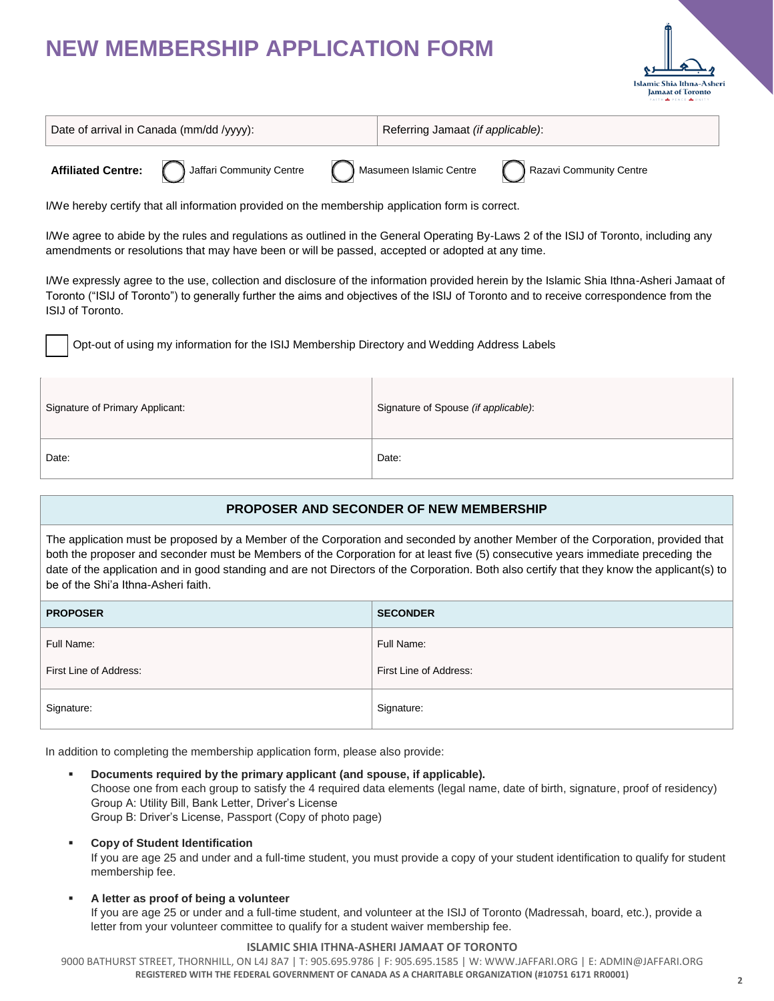

| Date of arrival in Canada (mm/dd /yyyy):                                                         |                                                                                                         | Referring Jamaat (if applicable): |  |  |
|--------------------------------------------------------------------------------------------------|---------------------------------------------------------------------------------------------------------|-----------------------------------|--|--|
|                                                                                                  | Affiliated Centre: ( ) Jaffari Community Centre ( ) Masumeen Islamic Centre ( ) Razavi Community Centre |                                   |  |  |
| I/We hereby certify that all information provided on the membership application form is correct. |                                                                                                         |                                   |  |  |

I/We agree to abide by the rules and regulations as outlined in the General Operating By-Laws 2 of the ISIJ of Toronto, including any amendments or resolutions that may have been or will be passed, accepted or adopted at any time.

I/We expressly agree to the use, collection and disclosure of the information provided herein by the Islamic Shia Ithna-Asheri Jamaat of Toronto ("ISIJ of Toronto") to generally further the aims and objectives of the ISIJ of Toronto and to receive correspondence from the ISIJ of Toronto.

Opt-out of using my information for the ISIJ Membership Directory and Wedding Address Labels

| Signature of Primary Applicant: | Signature of Spouse (if applicable): |
|---------------------------------|--------------------------------------|
| Date:                           | Date:                                |

## **PROPOSER AND SECONDER OF NEW MEMBERSHIP**

The application must be proposed by a Member of the Corporation and seconded by another Member of the Corporation, provided that both the proposer and seconder must be Members of the Corporation for at least five (5) consecutive years immediate preceding the date of the application and in good standing and are not Directors of the Corporation. Both also certify that they know the applicant(s) to be of the Shi'a Ithna-Asheri faith.

| <b>PROPOSER</b>        | <b>SECONDER</b>        |
|------------------------|------------------------|
| Full Name:             | Full Name:             |
| First Line of Address: | First Line of Address: |
| Signature:             | Signature:             |

In addition to completing the membership application form, please also provide:

- **Documents required by the primary applicant (and spouse, if applicable).** Choose one from each group to satisfy the 4 required data elements (legal name, date of birth, signature, proof of residency) Group A: Utility Bill, Bank Letter, Driver's License Group B: Driver's License, Passport (Copy of photo page)
- **Copy of Student Identification**

If you are age 25 and under and a full-time student, you must provide a copy of your student identification to qualify for student membership fee.

## **A letter as proof of being a volunteer**

If you are age 25 or under and a full-time student, and volunteer at the ISIJ of Toronto (Madressah, board, etc.), provide a letter from your volunteer committee to qualify for a student waiver membership fee.

## **ISLAMIC SHIA ITHNA-ASHERI JAMAAT OF TORONTO**

9000 BATHURST STREET, THORNHILL, ON L4J 8A7 | T: 905.695.9786 | F: 905.695.1585 | W: WWW.JAFFARI.ORG | E: ADMIN@JAFFARI.ORG **REGISTERED WITH THE FEDERAL GOVERNMENT OF CANADA AS A CHARITABLE ORGANIZATION (#10751 6171 RR0001) <sup>2</sup>**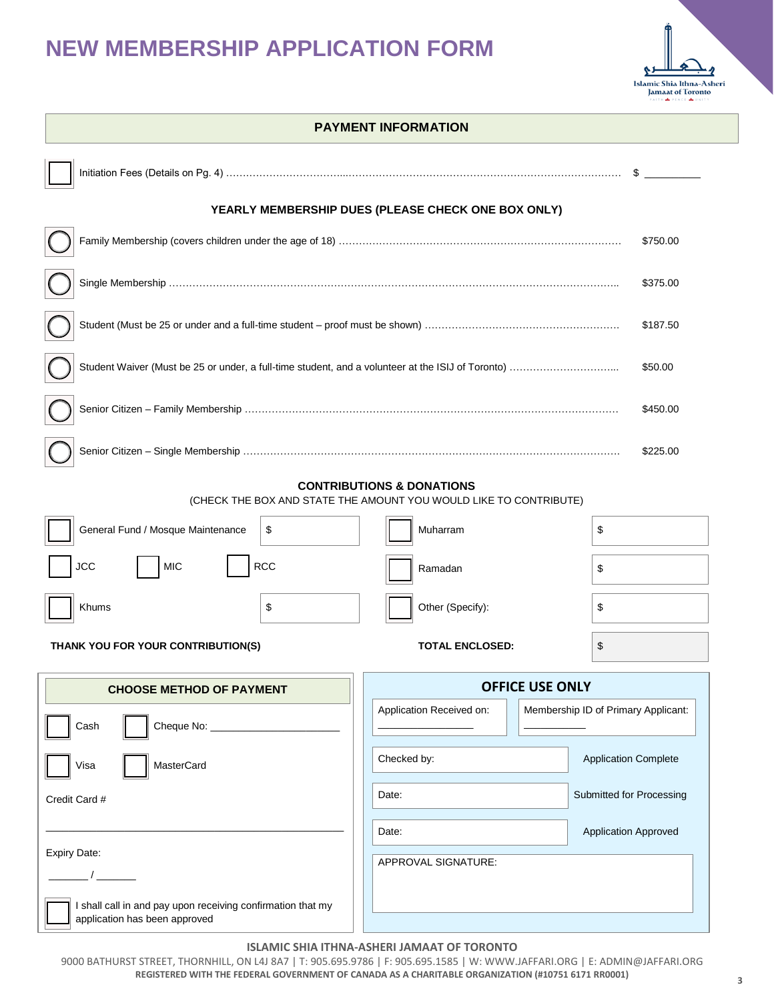$\blacksquare$ 



| <b>PAYMENT INFORMATION</b>                                                                   |                                                                                                           |                                     |  |  |
|----------------------------------------------------------------------------------------------|-----------------------------------------------------------------------------------------------------------|-------------------------------------|--|--|
|                                                                                              |                                                                                                           | $\mathbb{S}$                        |  |  |
|                                                                                              | YEARLY MEMBERSHIP DUES (PLEASE CHECK ONE BOX ONLY)                                                        |                                     |  |  |
|                                                                                              |                                                                                                           | \$750.00                            |  |  |
|                                                                                              |                                                                                                           | \$375.00                            |  |  |
|                                                                                              |                                                                                                           | \$187.50                            |  |  |
|                                                                                              |                                                                                                           |                                     |  |  |
|                                                                                              |                                                                                                           |                                     |  |  |
|                                                                                              |                                                                                                           | \$225.00                            |  |  |
|                                                                                              | <b>CONTRIBUTIONS &amp; DONATIONS</b><br>(CHECK THE BOX AND STATE THE AMOUNT YOU WOULD LIKE TO CONTRIBUTE) |                                     |  |  |
| General Fund / Mosque Maintenance<br>\$                                                      | Muharram                                                                                                  | \$                                  |  |  |
|                                                                                              |                                                                                                           |                                     |  |  |
| <b>RCC</b><br><b>MIC</b><br>JCC                                                              | Ramadan                                                                                                   | \$                                  |  |  |
| Khums<br>\$                                                                                  | Other (Specify):                                                                                          | \$                                  |  |  |
| THANK YOU FOR YOUR CONTRIBUTION(S)                                                           | <b>TOTAL ENCLOSED:</b>                                                                                    | \$                                  |  |  |
| <b>CHOOSE METHOD OF PAYMENT</b>                                                              | <b>OFFICE USE ONLY</b>                                                                                    |                                     |  |  |
| Cheque No: ________________<br>Cash                                                          | Application Received on:                                                                                  | Membership ID of Primary Applicant: |  |  |
| MasterCard<br>Visa                                                                           | Checked by:                                                                                               | <b>Application Complete</b>         |  |  |
| Credit Card #                                                                                | Date:                                                                                                     | Submitted for Processing            |  |  |
|                                                                                              | Date:                                                                                                     | Application Approved                |  |  |
| <b>Expiry Date:</b>                                                                          | APPROVAL SIGNATURE:                                                                                       |                                     |  |  |
| I shall call in and pay upon receiving confirmation that my<br>application has been approved |                                                                                                           |                                     |  |  |

#### **ISLAMIC SHIA ITHNA-ASHERI JAMAAT OF TORONTO**

9000 BATHURST STREET, THORNHILL, ON L4J 8A7 | T: 905.695.9786 | F: 905.695.1585 | W: WWW.JAFFARI.ORG | E: ADMIN@JAFFARI.ORG **REGISTERED WITH THE FEDERAL GOVERNMENT OF CANADA AS A CHARITABLE ORGANIZATION (#10751 6171 RR0001) <sup>3</sup>**